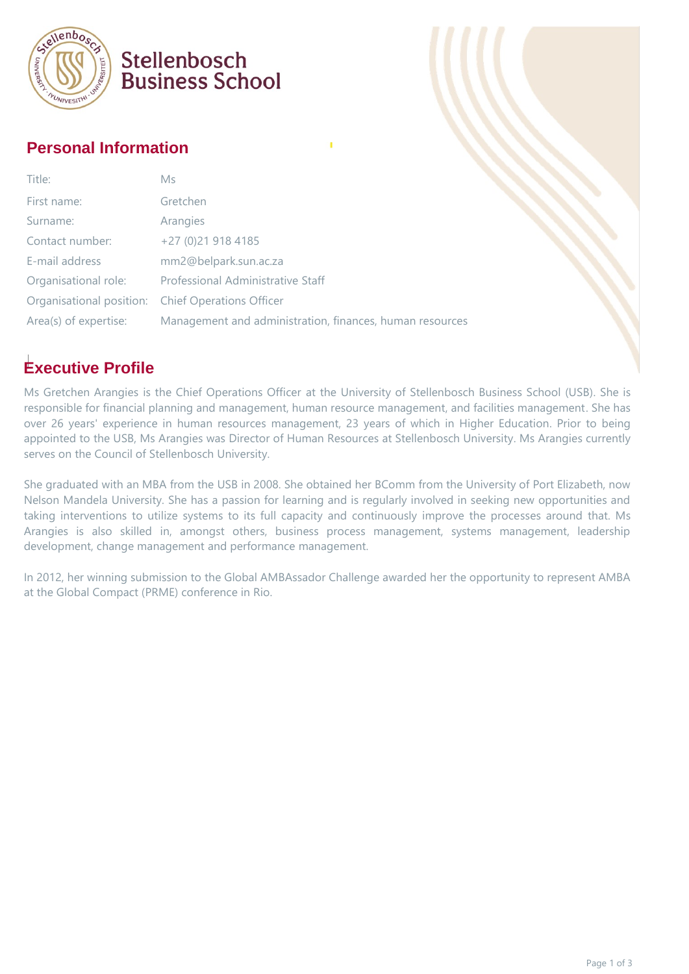

### Stellenbosch **Business School**

#### **Personal Information**

| Title:                | Ms                                                       |
|-----------------------|----------------------------------------------------------|
| First name:           | Gretchen                                                 |
| Surname:              | Arangies                                                 |
| Contact number:       | $+27(0)219184185$                                        |
| E-mail address        | mm2@belpark.sun.ac.za                                    |
| Organisational role:  | Professional Administrative Staff                        |
|                       | Organisational position: Chief Operations Officer        |
| Area(s) of expertise: | Management and administration, finances, human resources |
|                       |                                                          |

#### **Executive Profile**

Ms Gretchen Arangies is the Chief Operations Officer at the University of Stellenbosch Business School (USB). She is responsible for financial planning and management, human resource management, and facilities management. She has over 26 years' experience in human resources management, 23 years of which in Higher Education. Prior to being appointed to the USB, Ms Arangies was Director of Human Resources at Stellenbosch University. Ms Arangies currently serves on the Council of Stellenbosch University.

She graduated with an MBA from the USB in 2008. She obtained her BComm from the University of Port Elizabeth, now Nelson Mandela University. She has a passion for learning and is regularly involved in seeking new opportunities and taking interventions to utilize systems to its full capacity and continuously improve the processes around that. Ms Arangies is also skilled in, amongst others, business process management, systems management, leadership development, change management and performance management.

In 2012, her winning submission to the Global AMBAssador Challenge awarded her the opportunity to represent AMBA at the Global Compact (PRME) conference in Rio.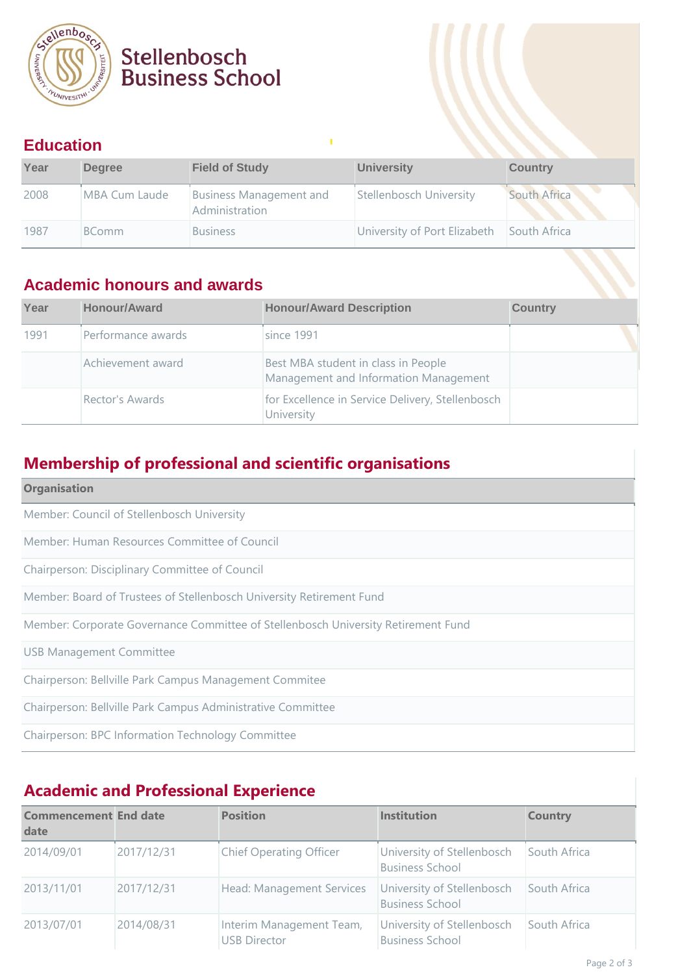

# Stellenbosch<br>Business School

#### **Education**

| Year | <b>Degree</b> | <b>Field of Study</b>                            | <b>University</b>            | <b>Country</b> |
|------|---------------|--------------------------------------------------|------------------------------|----------------|
| 2008 | MBA Cum Laude | <b>Business Management and</b><br>Administration | Stellenbosch University      | South Africa   |
| 1987 | <b>BComm</b>  | <b>Business</b>                                  | University of Port Elizabeth | South Africa   |

#### **Academic honours and awards**

| Year | <b>Honour/Award</b> | <b>Honour/Award Description</b>                                              | <b>Country</b> |
|------|---------------------|------------------------------------------------------------------------------|----------------|
| 1991 | Performance awards  | since 1991                                                                   |                |
|      | Achievement award   | Best MBA student in class in People<br>Management and Information Management |                |
|      | Rector's Awards     | for Excellence in Service Delivery, Stellenbosch<br>University               |                |

#### **Membership of professional and scientific organisations**

| <b>Organisation</b>                                                               |
|-----------------------------------------------------------------------------------|
| Member: Council of Stellenbosch University                                        |
| Member: Human Resources Committee of Council                                      |
| Chairperson: Disciplinary Committee of Council                                    |
| Member: Board of Trustees of Stellenbosch University Retirement Fund              |
| Member: Corporate Governance Committee of Stellenbosch University Retirement Fund |
| <b>USB Management Committee</b>                                                   |
| Chairperson: Bellville Park Campus Management Commitee                            |
| Chairperson: Bellville Park Campus Administrative Committee                       |
| Chairperson: BPC Information Technology Committee                                 |

### **Academic and Professional Experience**

| <b>Commencement End date</b><br>date |            | <b>Position</b>                                 | <b>Institution</b>                                   | <b>Country</b> |
|--------------------------------------|------------|-------------------------------------------------|------------------------------------------------------|----------------|
| 2014/09/01                           | 2017/12/31 | <b>Chief Operating Officer</b>                  | University of Stellenbosch<br><b>Business School</b> | South Africa   |
| 2013/11/01                           | 2017/12/31 | Head: Management Services                       | University of Stellenbosch<br><b>Business School</b> | South Africa   |
| 2013/07/01                           | 2014/08/31 | Interim Management Team,<br><b>USB Director</b> | University of Stellenbosch<br><b>Business School</b> | South Africa   |